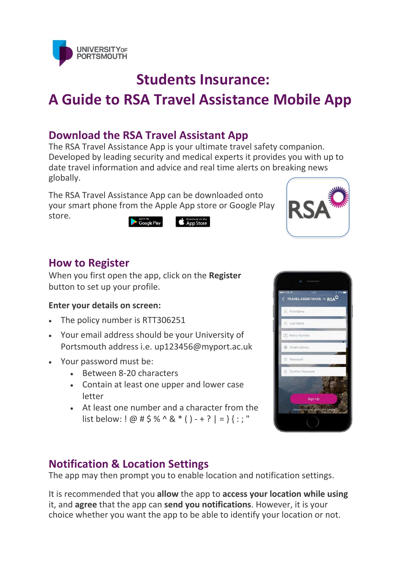

# **Students Insurance: A Guide to RSA Travel Assistance Mobile App**

# **Download the RSA Travel Assistant App**

The RSA Travel Assistance App is your ultimate travel safety companion. Developed by leading security and medical experts it provides you with up to date travel information and advice and real time alerts on breaking news globally.

The RSA Travel Assistance App can be downloaded onto your smart phone from the Apple App store or Google Play store.

Download on the **Coogle Play** 



#### **How to Register**

When you first open the app, click on the **Register** button to set up your profile.

#### **Enter your details on screen:**

- The policy number is RTT306251
- Your email address should be your University of Portsmouth address i.e. up123456@myport.ac.uk
- Your password must be:
	- Between 8-20 characters
	- Contain at least one upper and lower case letter
	- At least one number and a character from the list below: ! @ # \$ % ^ & \* ( ) - + ? | = } { : ; "

# **Notification & Location Settings**

The app may then prompt you to enable location and notification settings.

It is recommended that you **allow** the app to **access your location while using** it, and **agree** that the app can **send you notifications**. However, it is your choice whether you want the app to be able to identify your location or not.